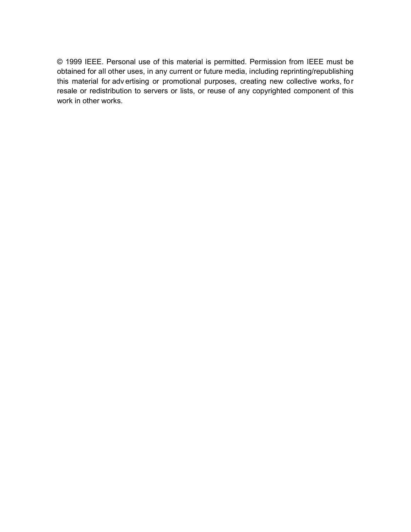© 1999 IEEE. Personal use of this material is permitted. Permission from IEEE must be obtained for all other uses, in any current or future media, including reprinting/republishing this material for adv ertising or promotional purposes, creating new collective works, fo r resale or redistribution to servers or lists, or reuse of any copyrighted component of this work in other works.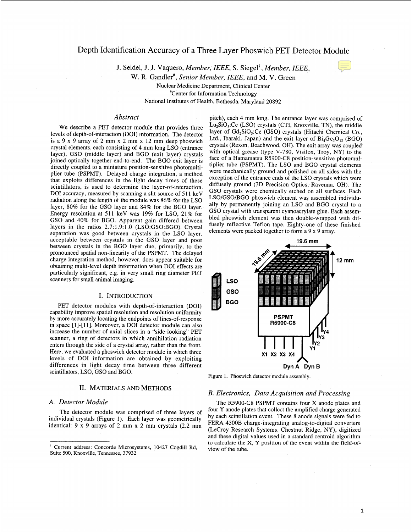# Depth Identification Accuracy of a Three Layer Phoswich PET Detector Module

**J.** Seidel, **J. J.** Vaquero, *Member, IEEE,* **S.** Siegel', *Member, IEEE,* 

W. R. Gandler<sup>#</sup>, *Senior Member, IEEE*, and M. V. Green Nuclear Medicine Department, Clinical Center 'Center for Information Technology National Institutes of Health, Bethesda, Maryland 20892

# *Abstract*

We describe a PET detector module that provides three levels of depth-of-interaction (DOI) information. The detector is a 9 x 9 array of 2 mm x 2 mm x 12 mm deep phoswich crystal elements, each consisting of 4 mm long LSO (entrance layer), GSO (middle layer) and BGO (exit layer) crystals joined optically together end-to-end. The BGO exit layer is directly coupled to a miniature position-sensitive photomultiplier tube (PSPMT). Delayed charge integration, a method that exploits differences in the light decay times of these scintillators, is used to determine the layer-of-interaction. DOI accuracy, measured by scanning a slit source of 511 keV radiation along the length of the module was 86% for the LSO layer, 80% for the GSO layer and 84% for the BGO layer. Energy resolution at 511 keV was 19% for LSO, **21%** for GSO and 40% for BGO. Apparent gain differed between layers in the ratios 2.7:1.9:1.0 (LSO:GSO:BGO). Crystal separation was good between crystals in the LSO layer, acceptable between crystals in the GSO layer and poor between crystals in the BGO layer due, primarily, to the pronounced spatial non-linearity of the PSPMT. The delayed charge integration method, however, does appear suitable for obtaining multi-level depth information when DO1 effects are particularly significant, e.g. in very small ring diameter PET scanners for small animal imaging.

# I. INTRODUCTION

PET detector modules with depth-of-interaction (DOI) capability improve spatial resolution and resolution uniformity by more accurately locating the endpoints of lines-of-response in space [1]-[ll]. Moreover, a DO1 detector module can also increase the number of axial slices in a "side-looking'' PET scanner, a ring of detectors in which annihilation radiation enters through the side of a crystal array, rather than the front. Here, we evaluated a phoswich detector module in which three levels of DO1 information are obtained by exploiting differences in light decay time between three different scintillators, LSO, GSO and BGO.

# 11. MATERIALS AND METHODS

### *A. Detector Module*

The detector module was comprised of three layers of individual crystals (Figure **1).** Each layer was geometrically identical: 9 **x** 9 arrays of 2 mm **x** 2 mm crystals (2.2 mm

pitch), each 4 mm long. The entrance layer was comprised of  $Lu_2SiO_5:Ce$  (LSO) crystals (CTI, Knoxville, TN), the middle layer of Gd,SiO,:Ce (GSO) crystals (Hitachi Chemical Co., Ltd., Ibaraki, Japan) and the exit layer of  $Bi_4Ge_3O_{12}$  (BGO) crystals (Rexon, Beachwood, OH). The exit array was coupled with optical grease (type V-780, Visilox, Troy, NY) to the face of a Hamamatsu R5900-CS position-sensitive photomultiplier tube (PSPMT). The LSO and BGO crystal elements were mechanically ground and polished on all sides with the exception of the entrance ends of the LSO crystals which were diffusely ground (3D Precision Optics, Ravenna, OH). The GSO crystals were chemically etched on all surfaces. Each LSO/GSO/BGO phoswich element was assembled individually by permanently joining an LSO and BGO crystal to a GSO crystal with transparent cyanoacrylate glue. Each assembled phoswich element was then double-wrapped with diffusely reflective Teflon tape. Eighty-one of these finished elements were packed together to form a  $9 \times 9$  array. FuelsiO<sub>s</sub>: Ce (LSO) crystals (CIT, Knoxville, TN), the middle<br>layer of Gd<sub>2</sub>SiO<sub>s</sub>: Ce (GSO) crystals (CIT, Knoxville, TN), the middle<br>layer of Gd<sub>2</sub>SiO<sub>s</sub>: Ce (GSO) crystals (Hitachi Chemical Co.,<br>Ltd, Ibaraki, Japan) an



Figure 1. Phoswich detector module assembly.

### *B. Electronics, Data Acquisition and Processing*

The R5900-CS PSPMT contains four X anode plates and four Y anode plates that collect the amplified charge generated by each scintillation event. These 8 anode signals were fed to **FERA** 4300B charge-integrating analog-to-digital converters (LeCroy Research Systems, Chestnut Ridge, NY), digitized and these digital values used in a standard centroid algorithm to calculate the **X,** *Y* position of the event within the field-ofview of the tube.

<sup>&#</sup>x27; Current address: Concorde Microsystems, 10427 Cogdill **Rd,**  Suite 500, Knoxville, Tennessee, 37932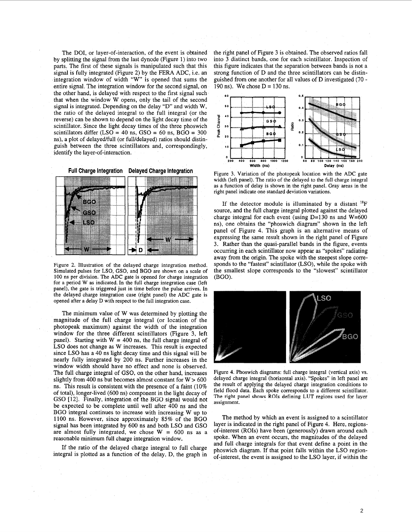The DOI, or layer-of-interaction, of the event is obtained by splitting the signal from the last dynode (Figure 1) into two parts. The first of these signals is manipulated such that this signal is fully integrated (Figure **2)** by the **FERA** ADC, i.e. an integration window of width "W" is opened that sums the entire signal. The integration window for the second signal, on the other hand, is delayed with respect to the first signal such that when the window W opens, only the tail of the second signal is integrated. Depending on the delay "D' and width W, the ratio of the delayed integral to the full integral (or the reverse) can be shown to depend on the light decay time of the scintillator. Since the light decay times of the three phoswich scintillators differ  $(LSO = 40 \text{ ns}, \text{GSO} = 60 \text{ ns}, \text{BGO} = 300$ ns), a plot of delayed/full (or full/delayed) ratios should distinguish between the three scintillators and, correspondingly, identify the layer-of-interaction.





Figure **2.** Illustration of the delayed charge integration method. Simulated pulses for LSO, GSO, and BGO are shown on a scale of 100 **ns** per division. The **ADC** gate is opened for charge integration for a period **W** as indicated. **In** the full charge integration case (left panel), the gate is triggered just in time before the pulse arrives. **In**  the delayed charge integration case (right panel) the **ADC** gate is opened after a delay **D** with respect to the full integration case.

The minimum value of W was determined by plotting the magnitude of the full charge integral (or location of the photopeak maximum) against the width of the integration window for the three different scintillators (Figure 3, left panel). Starting with  $W = 400$  ns, the full charge integral of LSO does not change as W increases. This result is expected since LSO has a 40 ns light decay time and this signal will be nearly fully integrated by 200 ns. Further increases in the window width should have no effect and none is observed. The full charge integral of GSO, on the other hand, increases slightly from 400 ns but becomes almost constant for  $W > 600$ ns. This result is consistent with the presence of **a** faint (10% of total), longer-lived (600 ns) component in the light decay of GSO [12]. Finally, integration of the BGO signal **would** not be expected to be complete until well after 400 ns and the BGO integral continues to increase with increasing W up to 1100 ns. However, since approximately 85% of the BGO signal has been integrated by 600 ns and both LSO and GSO are almost fully integrated, we chose  $W = 600$  ns as a reasonable minimum full charge integration window.

If the ratio of the delayed charge integral to full charge integral is plotted as a function of the delay, D, the graph in the right panel of Figure 3 is obtained. The observed ratios fall into 3 distinct bands, one for each scintillator. Inspection of this figure indicates that the separation between bands is not a strong function of D and the three scintillators can be distinguished from one another for all values of D investigated (70 - 190 ns). We chose  $D = 130$  ns.



Figure **3.** Variation of the photopeak location with the **ADC** gate as a function of delay is shown in the right panel. Gray areas in the right panel indicate one standard deviation variations.

If the detector module is illuminated by a distant  ${}^{18}F$ source, and the full charge integral plotted against the delayed charge integral for each event (using  $D=130$  ns and  $W=600$ ns), one obtains the "phoswich diagram" shown in the left panel of Figure 4. This graph is an alternative means of expressing the same result shown in the right panel of Figure 3. Rather than the quasi-parallel bands in the figure, events occurring in each scintillator now appear as "spokes" radiating away from the origin. The spoke with the steepest slope corresponds to the "fastest" scintillator (LSO), while the spoke with the smallest slope corresponds to the "slowest" scintillator (BGO).



Figure 4. Phoswich diagrams: full charge integral (vertical axis) vs. delayed charge integral (horizontal axis). "Spokes" in left panel are the result of applying the delayed charge integration conditions to field flood data. Each spoke corresponds to a different scintillator. **The** right **panel shows ROIs** defining LUT regions used for layer assignment.

The method by which an event is assigned to a scintillator layer is indicated in the right panel of Figure 4. Here, regionsof-interest (ROIs) have been (generously) drawn around each spoke. When an event occurs, the magnitudes of the delayed and full charge integrals for that event define a point in the phoswich diagram. If that point falls within the LSO regionof-interest, the event is assigned to the LSO layer, if within the

2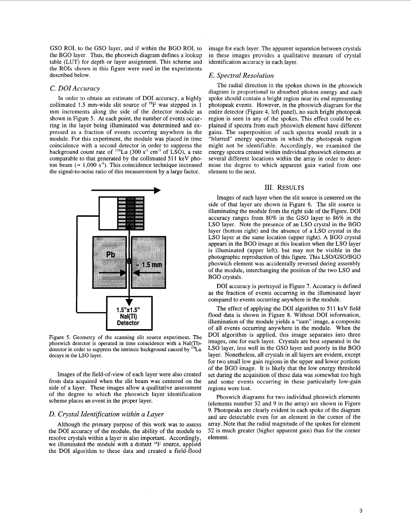GSO ROI, to the GSO layer, and if within the BGO ROI, to the BGO layer. Thus, the phoswich diagram defines a lookup table (LUT) for depth or layer assignment. This scheme and the ROIs shown in this figure were used in the experiments described below.

## *C. DOI Accuracy*

In order to obtain an estimate of DO1 accuracy, a highly collimated 1.5 mm-wide slit source of  $^{18}$ F was stepped in 1 mm increments along the side of the detector module as shown in Figure 5. At each point, the number of events occurring in the layer being illuminated was determined and expressed as a fraction of events occurring anywhere in the module. For this experiment, the module was placed in time coincidence with a second detector in order to suppress the background count rate of **176Lu** (300 **s"** cm-3 of LSO), a rate comparable to that generated by the collimated 511 keV photon beam  $(\approx 1,000 \text{ s}^{-1})$ . This coincidence technique increased the signal-to-noise ratio of this measurement by a large factor.



Figure 5. Geometry of the scanning slit source experiment. The phoswich detector is operated in time coincidence with a NaI(T1) detector in order to suppress the intrinsic background caused by **I7"Lu**  decays in the **LSO** layer.

Images of the field-of-view of each layer were also created from data acquired when the slit beam was centered on the side of a layer. These images allow a qualitative assessment of the degree to which the phoswich layer identification scheme places an event in the proper layer.

Although the primary purpose of this work was to assess the DO1 accuracy of the module, the ability of the module to resolve crystals within a layer is also important. Accordingly, we illuminated the module with a distant <sup>18</sup>F source, applied the DO1 algorithm to these data and created a field-flood

image for each layer. The apparent separation between crystals in these images provides a qualitative measure of crystal identification accuracy in each layer.

# *E. Spectral Resolution*

The radial direction in the spokes shown in the phoswich diagram is proportional to absorbed photon energy and each spoke should contain a bright region near its end representing photopeak events. However, in the phoswich diagram for the entire detector (Figure 4, left panel), no such bright photopeak region is seen in any of the spokes. This effect could be explained if spectra from each phoswich element have different gains. The superposition of such spectra would result in a "blurred' energy spectrum in which the photopeak region might not be identifiable. Accordingly, we examined the energy spectra created within individual phoswich elements at several different locations within the array in order to determine the degree to which apparent gain varied from one element to the next.

### 111. RESULTS

Images of each layer when the slit source is centered on the side of that layer are shown in [Figure 6.](#page-4-0) The slit source is illuminating the module firom the right side of the Figure. DO1 accuracy ranges from 80% in the GSO layer to 86% in the LSO layer. Note the presence of an LSO crystal in the BGO layer (bottom right) and the absence of a LSO crystal in the LSO layer at the same location (upper right). A BGO crystal appears in the BGO image at this location when the LSO layer is illuminated (upper left), but may not be visible in the photographic reproduction of this figure. This LSO/GSO/BGO phoswich element was accidentally reversed during assembly of the module, interchanging the position of the two LSO and BGO crystals.

DO1 accuracy is portrayed in [Figure 7.](#page-4-0) Accuracy is defined as the fraction of events occurring in the illuminated layer compared to events occurring anywhere in the module.

The effect of applying the DOI algorithm to 511 keV field flood data is shown in Figure 8. Without DO1 information, illumination of the module yields a "sum" image, a composite of all events occurring anywhere in the module. When the DO1 algorithm is applied, this image separates into three images, one for each layer. Crystals are best separated in the LSO layer, less well in the GSO layer and poorly in the BGO layer. Nonetheless, all crystals in all layers are evident, except for two small low gain regions in the upper and lower portions of the BGO image. It is likely that the low energy threshold set during the acquisition of these data was somewhat too high and some events occurring in these particularly low-gain regions were lost.

Phoswich diagrams for two individual phoswich elements (elements number 52 and 9 in the array) are shown in [Figure](#page-5-0) 9. Photopeaks are clearly evident in each spoke of the diagram [9.](#page-5-0) Photopeaks are clearly evident in each spoke of the diagram *D. Crystal Identification within a Layer* and are detectable even for an element in the corner of the array. Note that the radial magnitude of the spokes for element 52 is much greater (higher apparent gain) than for the corner element.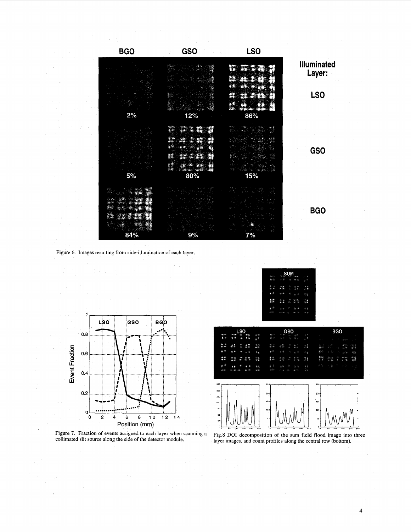<span id="page-4-0"></span>

| <b>BGO</b> | <b>GSO</b> | <b>LSO</b> |                              |
|------------|------------|------------|------------------------------|
|            |            |            | <b>Illuminated</b><br>Layer: |
|            |            |            | <b>LSO</b>                   |
| 2%         | 12%        | 86%        |                              |
|            |            |            |                              |
|            |            |            |                              |
|            |            |            | <b>GSO</b>                   |
|            |            | 28         |                              |
| $5\%$      | 80%        | 15%        |                              |
|            |            |            |                              |
|            |            |            |                              |
|            |            |            | <b>BGO</b>                   |
|            |            |            |                              |
| 84%        | 9%         | 7%         |                              |

Figure 6. Images resulting from side-illumination of each layer.



Figure 7. Fraction of events assigned to each layer when scanning a collimated slit source along the side of the detector module.

|         |             | <b>SUM</b> |                                               |        |
|---------|-------------|------------|-----------------------------------------------|--------|
|         |             |            | かあ<br>ŝ                                       |        |
|         |             | ă<br>de.   |                                               |        |
| ø,<br>û | 魚<br>÷      | ۸          | Ň,                                            |        |
|         | 震器          | XX.        |                                               |        |
| m.      | 豪爱<br>22.46 | ÷<br>300   | ŧ<br>慘<br>$\mathcal{L}_{\mathcal{D}}$<br>ogo. | R<br>ä |
|         |             |            |                                               | ×      |

| L <sub>SO</sub>   |    |   |        | GSO           |                                              |          | <b>BGO</b>                      |                                |                     |                                                                              |                                              |              |
|-------------------|----|---|--------|---------------|----------------------------------------------|----------|---------------------------------|--------------------------------|---------------------|------------------------------------------------------------------------------|----------------------------------------------|--------------|
| <b>Moore</b><br>× | me | ø | ×<br>倹 | 865000<br>۲   | $\mathcal{C}^{\mathcal{A}}$<br>×<br>$\geq 3$ | 39<br>à. | <b>SERVICE</b><br>ø<br>a        | ×<br>$\ldots$<br><b>A</b><br>r | š.<br>※.            | à.                                                                           | - 200                                        | r.<br>×,     |
|                   |    |   |        | 多楽<br>×.<br>œ | -55<br>×                                     | 谂<br>ð.  | w                               | ø.<br>œ                        |                     | $\sim 1\%$<br>×.<br>$\mathcal{G}^{\pm}_{\mathbf{r}}$ to $\mathcal{I}$<br>114 | 58                                           | R<br>×<br>w. |
|                   |    |   |        | $x$ is        | ô                                            | o,       | s.                              |                                | F.<br>æ<br>m        | ъ.<br>$\gtrsim$<br>ķ,                                                        | se: N                                        | پی           |
|                   |    |   |        | s.            |                                              | $-100$   |                                 | فتجا                           |                     | ×<br>$\frac{1}{2}$<br>k.                                                     | w<br>ø<br>o.                                 | ۰<br>ぷろ      |
|                   |    |   |        | i s<br>30     | æ                                            | 強<br>é.  | $\langle \rangle$<br>X<br>60.48 | $\pm 3$<br>للائق.              | $\hat{\mathcal{S}}$ | $\mathcal{L}(\mathcal{C})$<br>ī,<br>s                                        | $\langle \xi \rangle \langle \gamma \rangle$ | 不定<br>$\sim$ |
|                   |    |   |        |               |                                              |          |                                 |                                |                     |                                                                              |                                              |              |
|                   |    |   |        | 250           |                                              |          |                                 |                                | 250                 |                                                                              |                                              |              |
|                   |    |   |        |               |                                              |          |                                 |                                |                     |                                                                              |                                              |              |
|                   |    |   |        | 200<br>÷.     |                                              |          |                                 |                                | 200                 |                                                                              |                                              |              |



Figure *I*. Fraction of events assigned to each layer when scanning a Fig.8 DOI decomposition of the sum field flood image into three collimated slit source along the side of the detector module. alorg inversion alger imag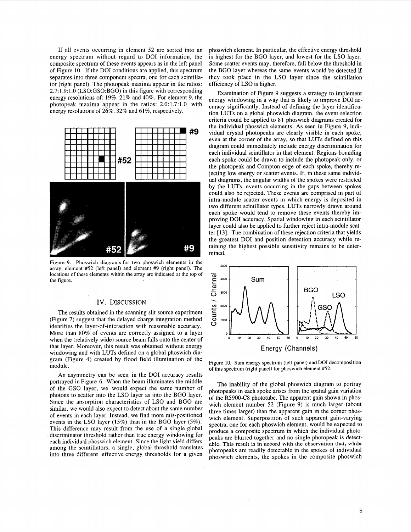<span id="page-5-0"></span>If all events occurring in element 52 are sorted into an energy spectrum without regard to DO1 information, the composite spectrum of these events appears as in the left panel of Figure 10. If the DO1 conditions are applied, this spectrum separates into three component spectra, one for each scintillator (right panel). The photopeak maxima appear in the ratios: **2.7:** 1.9: 1.0 (LS0:GSO:BGO) in this figure with corresponding energy resolutions of: 19%, 21% and 40%. For element 9, the photopeak maxima appear in the ratios: 2.0: **1.7:** 1 .O with energy resolutions of 26%, *32%* and 61%, respectively.



Figure 9. Phoswich diagrams for two phoswich elements in the array, element #52 (left panel) and element #9 (right panel). The locations of these elements within the array are indicated at the top of the figure.

### IV. DISCUSSION

The results obtained in the scanning slit source experiment (Figure **7)** suggest that the delayed charge integration method identifies the layer-of-interaction with reasonable accuracy. More than 80% of events are correctly assigned to a layer when the (relatively wide) source beam falls onto the center of that layer. Moreover, this result was obtained without energy windowing and with LUTs defined on a global phoswich diagram (Figure 4) created by flood field illumination of the module.

An asymmetry can be seen in the DO1 accuracy results portrayed in [Figure 6.](#page-4-0) When the beam illuminates the middle of the GSO layer, we would expect the same number of photons to scatter into the LSO layer as into the BGO layer. Since the absorption characteristics of LSO and BGO are similar, we would also expect to detect about the same number of events in each layer. Instead, we find more mis-positioned events in the LSO layer (15%) than in the BGO layer (5%). This difference may result from the use of a single global discriminator threshold rather than true energy windowing for each individual phoswich element. Since the light yield differs among the scintillators, a single, global threshold translates into three different effective energy thresholds for a given

phoswich element. In particular, the effective energy threshold is highest for the BGO layer, and lowest for the LSO layer. Some scatter events may, therefore, fall below the threshold in the BGO layer whereas the same events would be detected **if**  they took place in the LSO layer since the scintillation efficiency of LSO is higher.

Examination of Figure 9 suggests a strategy to implement energy windowing in a way that is likely to improve DO1 accuracy significantly. Instead of defining the layer identification LUTs on a global phoswich diagram, the event selection criteria could be applied to **81** phoswich diagrams created for the individual phoswich elements. **As** seen in Figure 9, individual crystal photopeaks are clearly visible in each spoke, even at the corner of the array, so that LUTs defined on this diagram could immediately include energy discrimination for each individual scintillator in that element. Regions bounding each spoke could be drawn to include the photopeak only, or the photopeak and Compton edge of each spoke, thereby rejecting low energy or scatter events. If, in these same individual diagrams, the angular widths of the spokes were restricted by the LUTs, events occurring in the gaps between spokes could also be rejected. These events are comprised in part of intra-module scatter events in which energy is deposited in two different scintillator types. LUTs narrowly drawn around each spoke would tend to remove these events thereby improving DO1 accuracy. Spatial windowing in each scintillator layer could also be applied to further reject intra-module scatter [13]. The combination of these rejection criteria that yields the greatest DO1 and position detection accuracy while retaining the highest possible sensitivity remains to be determined.



Figure **10.** Sum energy spectrum (left panel) and DO1 decomposition of this spectrum (right panel) for phoswich element *#52.* 

The inability of the global phoswich diagram to portray photopeaks in each spoke arises from the spatial gain variation of the R5900-CS phototube. The apparent gain shown in phoswich element number *52* (Figure 9) is much larger (about three times larger) than the apparent gain in the corner phoswich element. Superposition of such apparent gain-varying spectra, one for each phoswich element, would be expected to produce a composite spectrum in which the individual photopeaks are blurred together and no single photopeak is detectable. This result is in accord with the observation that, while photopeaks are readily detectable in the spokes of individual phoswich elements, the spokes in the composite phoswich